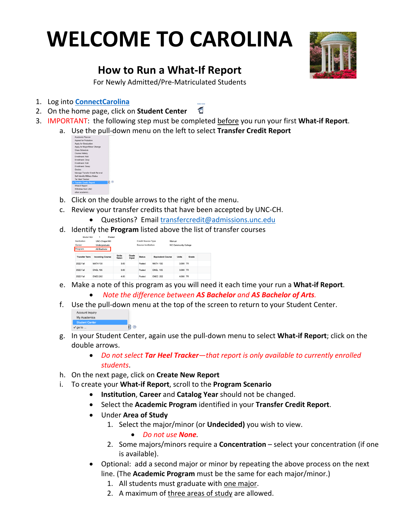## **WELCOME TO CAROLINA**



## **How to Run a What-If Report**

For Newly Admitted/Pre-Matriculated Students

- 1. Log into **ConnectCarolina**
- 2. On the home page, click on **Student Center**
- 3. IMPORTANT: the following step must be completed before you run your first **What-if Report**.
	- a. Use the pull-down menu on the left to select **Transfer Credit Report**

| Academic Planner                  |
|-----------------------------------|
| Appeal for Probation              |
| Apply for Graduation              |
| Apply for Major/Minor Change      |
| Class Schedule                    |
| Course History                    |
| Fornilment: Add                   |
| Enrollment: Drop                  |
| Enrollment: Edit                  |
| Enrollment: Swap                  |
| Grades                            |
| Manage Transfer Credit Re-eval    |
| Self-identify Military Status     |
| <b>Tar Heel Tracker</b>           |
| 11 O<br>√ Transfer Credit: Report |
| What-if Report                    |
| Withdraw from UNC                 |
| other academic                    |

- b. Click on the double arrows to the right of the menu.
- c. Review your transfer credits that have been accepted by UNC-CH.
	- Questions? Email transfercredit@admissions.unc.edu
- d. Identify the **Program** listed above the list of transfer courses

| Model Nbr            |                        | Posted                |                |                           |                          |                             |       |  |
|----------------------|------------------------|-----------------------|----------------|---------------------------|--------------------------|-----------------------------|-------|--|
| Institution          | UNC-Chapel Hill        |                       |                | <b>Credit Source Type</b> |                          | Manual                      |       |  |
| Career               | Undergraduate          |                       |                | Source Institution        |                          | <b>NC Community College</b> |       |  |
| Program              | AS Bachelor            |                       |                |                           |                          |                             |       |  |
| <b>Transfer Term</b> | <b>Incoming Course</b> | <b>Units</b><br>Taken | Grade<br>Input | <b>Status</b>             | <b>Equivalent Course</b> | <b>Units</b>                | Grade |  |
| 2022 Fall            | <b>MATH 130</b>        | 3.00                  |                | Posted                    | <b>MATH 130</b>          | 3,000 TR                    |       |  |
| 2022 Fall            | <b>ENGL 105</b>        | 3.00                  |                | Posted                    | <b>ENGL 105</b>          | 3,000 TR                    |       |  |
| 2022 Fall            | <b>ENEC 202</b>        | 4.00                  |                | Posted                    | <b>ENEC 202</b>          | 4.000 TR                    |       |  |

- e. Make a note of this program as you will need it each time your run a **What-if Report**.
	- *Note the difference between AS Bachelor and AS Bachelor of Arts.*
- f. Use the pull-down menu at the top of the screen to return to your Student Center.

| My Academics          |  |
|-----------------------|--|
| <b>Student Center</b> |  |
| $\checkmark$ go to    |  |

- g. In your Student Center, again use the pull-down menu to select **What-if Report**; click on the double arrows.
	- *Do not select Tar Heel Tracker—that report is only available to currently enrolled students*.
- h. On the next page, click on **Create New Report**
- i. To create your **What-if Report**, scroll to the **Program Scenario**
	- **Institution**, **Career** and **Catalog Year** should not be changed.
	- Select the **Academic Program** identified in your **Transfer Credit Report**.
	- Under **Area of Study**
		- 1. Select the major/minor (or **Undecided)** you wish to view.
			- *Do not use None.*
		- 2. Some majors/minors require a **Concentration** select your concentration (if one is available).
	- Optional: add a second major or minor by repeating the above process on the next line. (The **Academic Program** must be the same for each major/minor.)
		- 1. All students must graduate with one major.
		- 2. A maximum of three areas of study are allowed.